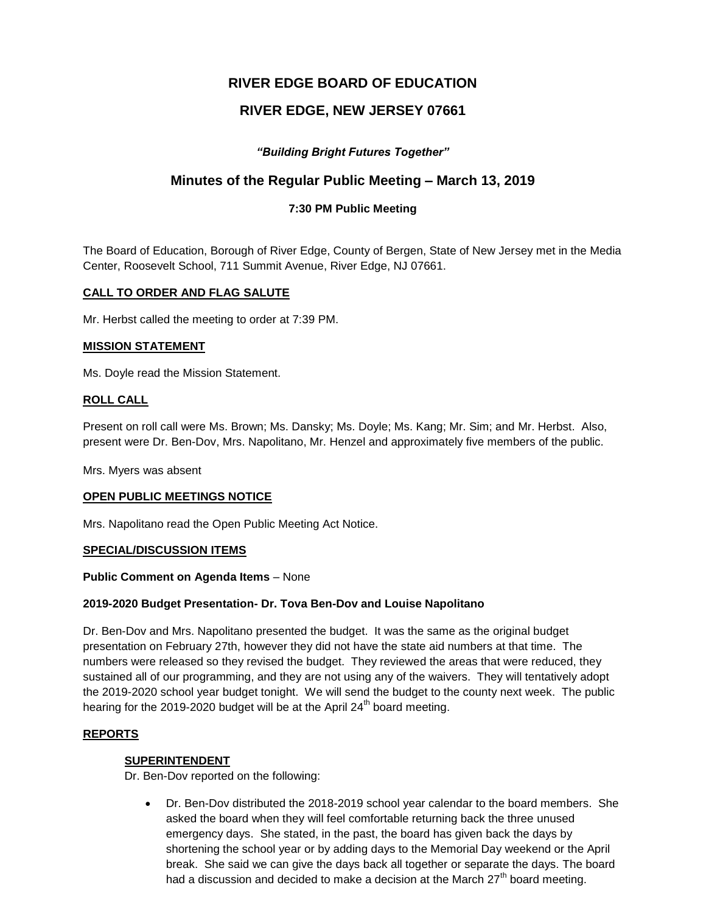# **RIVER EDGE BOARD OF EDUCATION**

# **RIVER EDGE, NEW JERSEY 07661**

# *"Building Bright Futures Together"*

# **Minutes of the Regular Public Meeting – March 13, 2019**

## **7:30 PM Public Meeting**

The Board of Education, Borough of River Edge, County of Bergen, State of New Jersey met in the Media Center, Roosevelt School, 711 Summit Avenue, River Edge, NJ 07661.

### **CALL TO ORDER AND FLAG SALUTE**

Mr. Herbst called the meeting to order at 7:39 PM.

#### **MISSION STATEMENT**

Ms. Doyle read the Mission Statement.

# **ROLL CALL**

Present on roll call were Ms. Brown; Ms. Dansky; Ms. Doyle; Ms. Kang; Mr. Sim; and Mr. Herbst. Also, present were Dr. Ben-Dov, Mrs. Napolitano, Mr. Henzel and approximately five members of the public.

Mrs. Myers was absent

#### **OPEN PUBLIC MEETINGS NOTICE**

Mrs. Napolitano read the Open Public Meeting Act Notice.

#### **SPECIAL/DISCUSSION ITEMS**

#### **Public Comment on Agenda Items** – None

#### **2019-2020 Budget Presentation- Dr. Tova Ben-Dov and Louise Napolitano**

Dr. Ben-Dov and Mrs. Napolitano presented the budget. It was the same as the original budget presentation on February 27th, however they did not have the state aid numbers at that time. The numbers were released so they revised the budget. They reviewed the areas that were reduced, they sustained all of our programming, and they are not using any of the waivers. They will tentatively adopt the 2019-2020 school year budget tonight. We will send the budget to the county next week. The public hearing for the 2019-2020 budget will be at the April  $24<sup>th</sup>$  board meeting.

#### **REPORTS**

#### **SUPERINTENDENT**

Dr. Ben-Dov reported on the following:

 Dr. Ben-Dov distributed the 2018-2019 school year calendar to the board members. She asked the board when they will feel comfortable returning back the three unused emergency days. She stated, in the past, the board has given back the days by shortening the school year or by adding days to the Memorial Day weekend or the April break. She said we can give the days back all together or separate the days. The board had a discussion and decided to make a decision at the March 27<sup>th</sup> board meeting.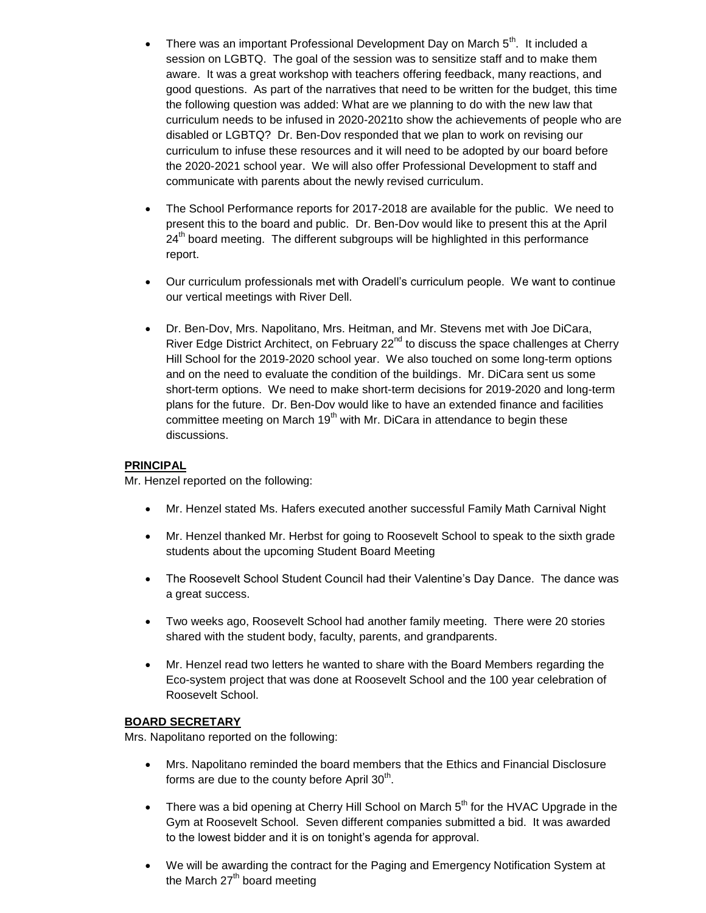- There was an important Professional Development Day on March  $5<sup>th</sup>$ . It included a session on LGBTQ. The goal of the session was to sensitize staff and to make them aware. It was a great workshop with teachers offering feedback, many reactions, and good questions. As part of the narratives that need to be written for the budget, this time the following question was added: What are we planning to do with the new law that curriculum needs to be infused in 2020-2021to show the achievements of people who are disabled or LGBTQ? Dr. Ben-Dov responded that we plan to work on revising our curriculum to infuse these resources and it will need to be adopted by our board before the 2020-2021 school year. We will also offer Professional Development to staff and communicate with parents about the newly revised curriculum.
- The School Performance reports for 2017-2018 are available for the public. We need to present this to the board and public. Dr. Ben-Dov would like to present this at the April  $24<sup>th</sup>$  board meeting. The different subgroups will be highlighted in this performance report.
- Our curriculum professionals met with Oradell's curriculum people. We want to continue our vertical meetings with River Dell.
- Dr. Ben-Dov, Mrs. Napolitano, Mrs. Heitman, and Mr. Stevens met with Joe DiCara, River Edge District Architect, on February 22<sup>nd</sup> to discuss the space challenges at Cherry Hill School for the 2019-2020 school year. We also touched on some long-term options and on the need to evaluate the condition of the buildings. Mr. DiCara sent us some short-term options. We need to make short-term decisions for 2019-2020 and long-term plans for the future. Dr. Ben-Dov would like to have an extended finance and facilities committee meeting on March 19<sup>th</sup> with Mr. DiCara in attendance to begin these discussions.

# **PRINCIPAL**

Mr. Henzel reported on the following:

- Mr. Henzel stated Ms. Hafers executed another successful Family Math Carnival Night
- Mr. Henzel thanked Mr. Herbst for going to Roosevelt School to speak to the sixth grade students about the upcoming Student Board Meeting
- The Roosevelt School Student Council had their Valentine's Day Dance. The dance was a great success.
- Two weeks ago, Roosevelt School had another family meeting. There were 20 stories shared with the student body, faculty, parents, and grandparents.
- Mr. Henzel read two letters he wanted to share with the Board Members regarding the Eco-system project that was done at Roosevelt School and the 100 year celebration of Roosevelt School.

#### **BOARD SECRETARY**

Mrs. Napolitano reported on the following:

- Mrs. Napolitano reminded the board members that the Ethics and Financial Disclosure forms are due to the county before April 30<sup>th</sup>.
- There was a bid opening at Cherry Hill School on March  $5<sup>th</sup>$  for the HVAC Upgrade in the Gym at Roosevelt School. Seven different companies submitted a bid. It was awarded to the lowest bidder and it is on tonight's agenda for approval.
- We will be awarding the contract for the Paging and Emergency Notification System at the March  $27<sup>th</sup>$  board meeting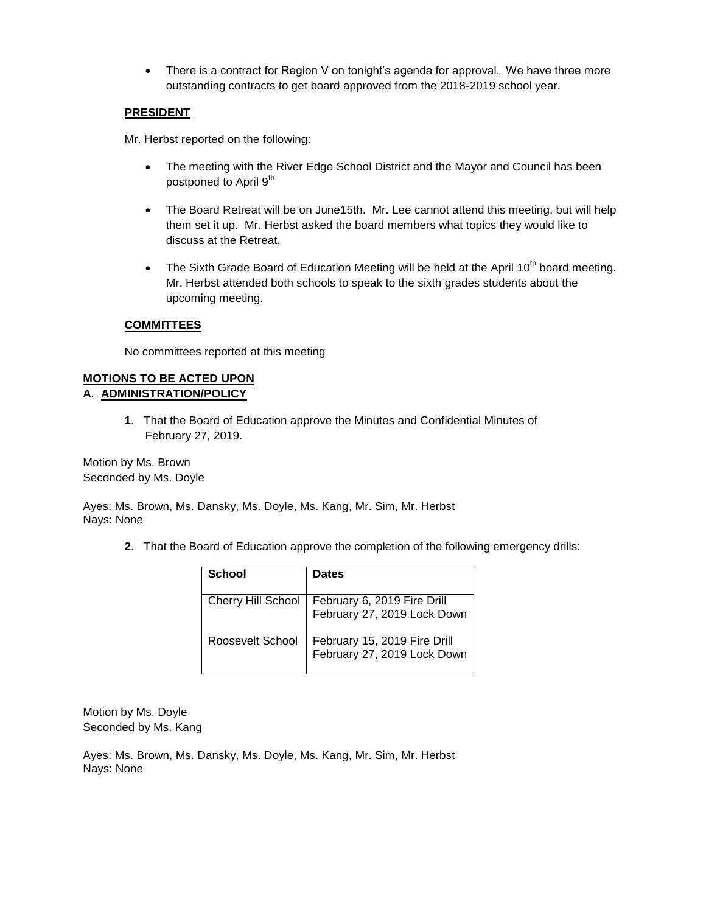• There is a contract for Region V on tonight's agenda for approval. We have three more outstanding contracts to get board approved from the 2018-2019 school year.

## **PRESIDENT**

Mr. Herbst reported on the following:

- The meeting with the River Edge School District and the Mayor and Council has been postponed to April 9<sup>th</sup>
- The Board Retreat will be on June15th. Mr. Lee cannot attend this meeting, but will help them set it up. Mr. Herbst asked the board members what topics they would like to discuss at the Retreat.
- The Sixth Grade Board of Education Meeting will be held at the April 10<sup>th</sup> board meeting. Mr. Herbst attended both schools to speak to the sixth grades students about the upcoming meeting.

### **COMMITTEES**

No committees reported at this meeting

## **MOTIONS TO BE ACTED UPON A**. **ADMINISTRATION/POLICY**

**1**. That the Board of Education approve the Minutes and Confidential Minutes of February 27, 2019.

Motion by Ms. Brown Seconded by Ms. Doyle

Ayes: Ms. Brown, Ms. Dansky, Ms. Doyle, Ms. Kang, Mr. Sim, Mr. Herbst Nays: None

**2**. That the Board of Education approve the completion of the following emergency drills:

| School                    | <b>Dates</b>                                                |
|---------------------------|-------------------------------------------------------------|
| <b>Cherry Hill School</b> | February 6, 2019 Fire Drill<br>February 27, 2019 Lock Down  |
| Roosevelt School          | February 15, 2019 Fire Drill<br>February 27, 2019 Lock Down |

Motion by Ms. Doyle Seconded by Ms. Kang

Ayes: Ms. Brown, Ms. Dansky, Ms. Doyle, Ms. Kang, Mr. Sim, Mr. Herbst Nays: None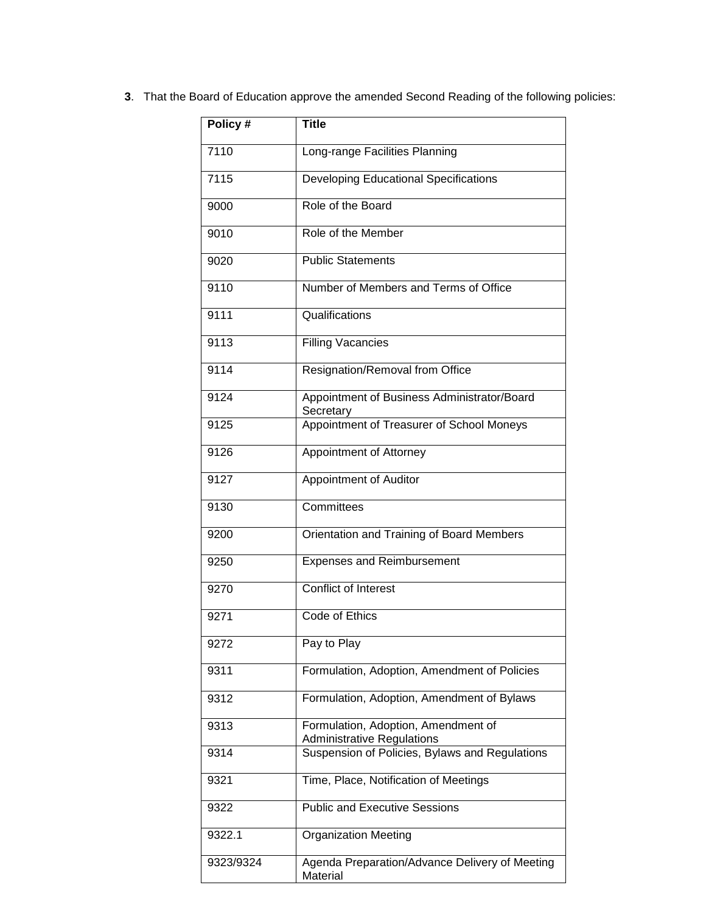| 3. That the Board of Education approve the amended Second Reading of the following policies: |  |
|----------------------------------------------------------------------------------------------|--|
|                                                                                              |  |

| Policy#   | Title                                                                    |
|-----------|--------------------------------------------------------------------------|
| 7110      | Long-range Facilities Planning                                           |
| 7115      | <b>Developing Educational Specifications</b>                             |
| 9000      | Role of the Board                                                        |
| 9010      | Role of the Member                                                       |
| 9020      | <b>Public Statements</b>                                                 |
| 9110      | Number of Members and Terms of Office                                    |
| 9111      | Qualifications                                                           |
| 9113      | <b>Filling Vacancies</b>                                                 |
| 9114      | Resignation/Removal from Office                                          |
| 9124      | Appointment of Business Administrator/Board<br>Secretary                 |
| 9125      | Appointment of Treasurer of School Moneys                                |
| 9126      | Appointment of Attorney                                                  |
| 9127      | Appointment of Auditor                                                   |
| 9130      | Committees                                                               |
| 9200      | Orientation and Training of Board Members                                |
| 9250      | <b>Expenses and Reimbursement</b>                                        |
| 9270      | <b>Conflict of Interest</b>                                              |
| 9271      | Code of Ethics                                                           |
| 9272      | Pay to Play                                                              |
| 9311      | Formulation, Adoption, Amendment of Policies                             |
| 9312      | Formulation, Adoption, Amendment of Bylaws                               |
| 9313      | Formulation, Adoption, Amendment of<br><b>Administrative Regulations</b> |
| 9314      | Suspension of Policies, Bylaws and Regulations                           |
| 9321      | Time, Place, Notification of Meetings                                    |
| 9322      | <b>Public and Executive Sessions</b>                                     |
| 9322.1    | <b>Organization Meeting</b>                                              |
| 9323/9324 | Agenda Preparation/Advance Delivery of Meeting<br>Material               |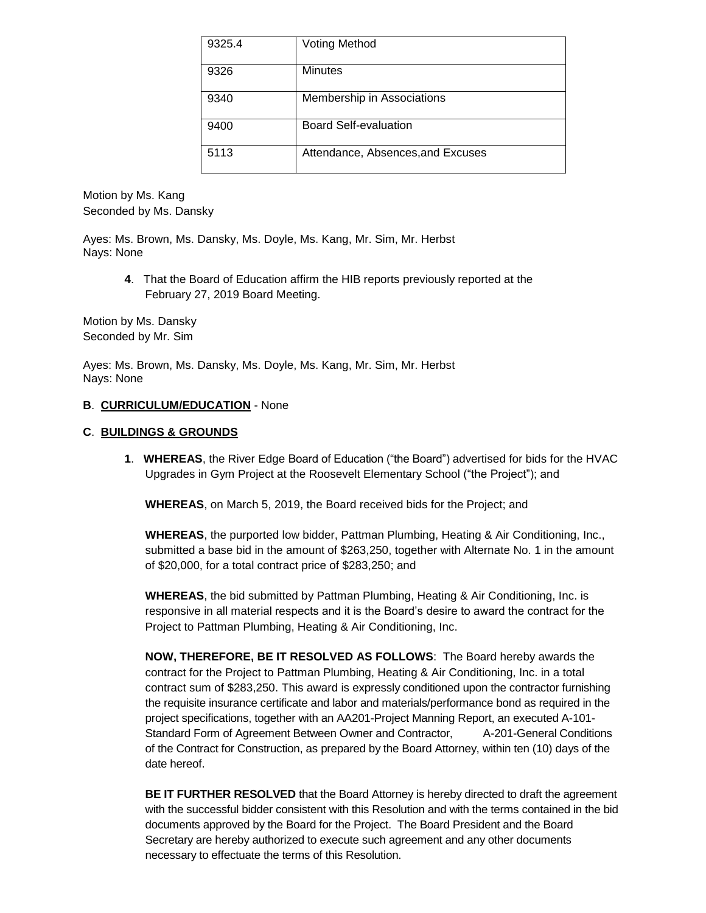| 9325.4 | <b>Voting Method</b>              |
|--------|-----------------------------------|
| 9326   | <b>Minutes</b>                    |
| 9340   | Membership in Associations        |
| 9400   | <b>Board Self-evaluation</b>      |
| 5113   | Attendance, Absences, and Excuses |

Motion by Ms. Kang Seconded by Ms. Dansky

Ayes: Ms. Brown, Ms. Dansky, Ms. Doyle, Ms. Kang, Mr. Sim, Mr. Herbst Nays: None

> **4**. That the Board of Education affirm the HIB reports previously reported at the February 27, 2019 Board Meeting.

Motion by Ms. Dansky Seconded by Mr. Sim

Ayes: Ms. Brown, Ms. Dansky, Ms. Doyle, Ms. Kang, Mr. Sim, Mr. Herbst Nays: None

### **B**. **CURRICULUM/EDUCATION** - None

#### **C**. **BUILDINGS & GROUNDS**

**1**. **WHEREAS**, the River Edge Board of Education ("the Board") advertised for bids for the HVAC Upgrades in Gym Project at the Roosevelt Elementary School ("the Project"); and

**WHEREAS**, on March 5, 2019, the Board received bids for the Project; and

**WHEREAS**, the purported low bidder, Pattman Plumbing, Heating & Air Conditioning, Inc., submitted a base bid in the amount of \$263,250, together with Alternate No. 1 in the amount of \$20,000, for a total contract price of \$283,250; and

**WHEREAS**, the bid submitted by Pattman Plumbing, Heating & Air Conditioning, Inc. is responsive in all material respects and it is the Board's desire to award the contract for the Project to Pattman Plumbing, Heating & Air Conditioning, Inc.

**NOW, THEREFORE, BE IT RESOLVED AS FOLLOWS**: The Board hereby awards the contract for the Project to Pattman Plumbing, Heating & Air Conditioning, Inc. in a total contract sum of \$283,250. This award is expressly conditioned upon the contractor furnishing the requisite insurance certificate and labor and materials/performance bond as required in the project specifications, together with an AA201-Project Manning Report, an executed A-101- Standard Form of Agreement Between Owner and Contractor, A-201-General Conditions of the Contract for Construction, as prepared by the Board Attorney, within ten (10) days of the date hereof.

**BE IT FURTHER RESOLVED** that the Board Attorney is hereby directed to draft the agreement with the successful bidder consistent with this Resolution and with the terms contained in the bid documents approved by the Board for the Project. The Board President and the Board Secretary are hereby authorized to execute such agreement and any other documents necessary to effectuate the terms of this Resolution.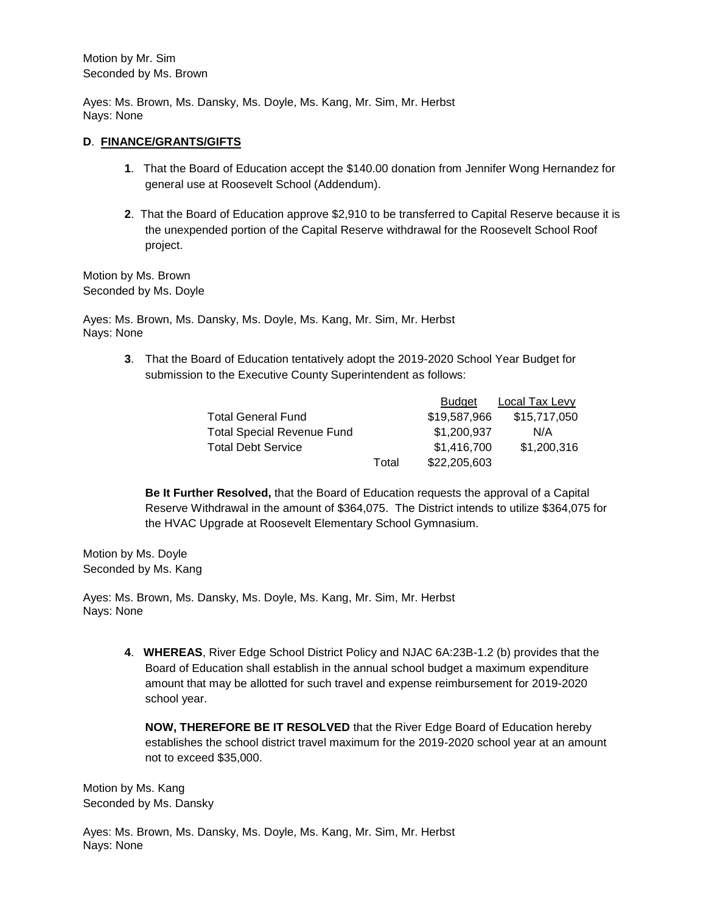Motion by Mr. Sim Seconded by Ms. Brown

Ayes: Ms. Brown, Ms. Dansky, Ms. Doyle, Ms. Kang, Mr. Sim, Mr. Herbst Nays: None

# **D**. **FINANCE/GRANTS/GIFTS**

- **1**. That the Board of Education accept the \$140.00 donation from Jennifer Wong Hernandez for general use at Roosevelt School (Addendum).
- **2**. That the Board of Education approve \$2,910 to be transferred to Capital Reserve because it is the unexpended portion of the Capital Reserve withdrawal for the Roosevelt School Roof project.

Motion by Ms. Brown Seconded by Ms. Doyle

Ayes: Ms. Brown, Ms. Dansky, Ms. Doyle, Ms. Kang, Mr. Sim, Mr. Herbst Nays: None

> **3**. That the Board of Education tentatively adopt the 2019-2020 School Year Budget for submission to the Executive County Superintendent as follows:

|                                   |       | <b>Budget</b> | Local Tax Levy |
|-----------------------------------|-------|---------------|----------------|
| <b>Total General Fund</b>         |       | \$19,587,966  | \$15,717,050   |
| <b>Total Special Revenue Fund</b> |       | \$1,200,937   | N/A            |
| <b>Total Debt Service</b>         |       | \$1,416,700   | \$1,200,316    |
|                                   | Total | \$22,205,603  |                |

Budget Local Tax Levy Contracts and

**Be It Further Resolved,** that the Board of Education requests the approval of a Capital Reserve Withdrawal in the amount of \$364,075. The District intends to utilize \$364,075 for the HVAC Upgrade at Roosevelt Elementary School Gymnasium.

Motion by Ms. Doyle Seconded by Ms. Kang

Ayes: Ms. Brown, Ms. Dansky, Ms. Doyle, Ms. Kang, Mr. Sim, Mr. Herbst Nays: None

> **4**. **WHEREAS**, River Edge School District Policy and NJAC 6A:23B-1.2 (b) provides that the Board of Education shall establish in the annual school budget a maximum expenditure amount that may be allotted for such travel and expense reimbursement for 2019-2020 school year.

**NOW, THEREFORE BE IT RESOLVED** that the River Edge Board of Education hereby establishes the school district travel maximum for the 2019-2020 school year at an amount not to exceed \$35,000.

Motion by Ms. Kang Seconded by Ms. Dansky

Ayes: Ms. Brown, Ms. Dansky, Ms. Doyle, Ms. Kang, Mr. Sim, Mr. Herbst Nays: None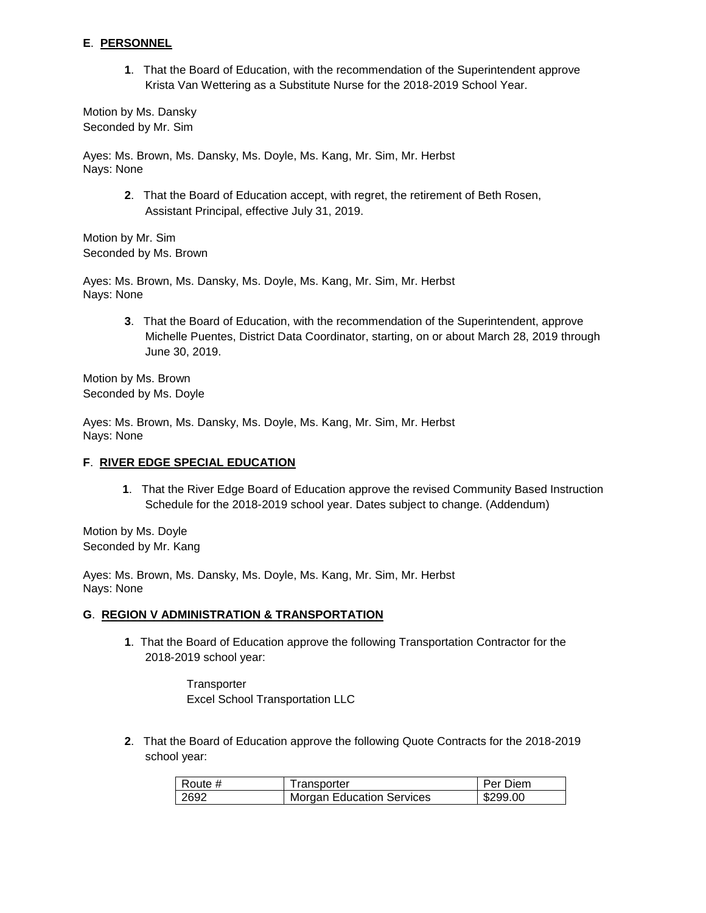# **E**. **PERSONNEL**

**1**. That the Board of Education, with the recommendation of the Superintendent approve Krista Van Wettering as a Substitute Nurse for the 2018-2019 School Year.

Motion by Ms. Dansky Seconded by Mr. Sim

Ayes: Ms. Brown, Ms. Dansky, Ms. Doyle, Ms. Kang, Mr. Sim, Mr. Herbst Nays: None

> **2**. That the Board of Education accept, with regret, the retirement of Beth Rosen, Assistant Principal, effective July 31, 2019.

Motion by Mr. Sim Seconded by Ms. Brown

Ayes: Ms. Brown, Ms. Dansky, Ms. Doyle, Ms. Kang, Mr. Sim, Mr. Herbst Nays: None

> **3**. That the Board of Education, with the recommendation of the Superintendent, approve Michelle Puentes, District Data Coordinator, starting, on or about March 28, 2019 through June 30, 2019.

Motion by Ms. Brown Seconded by Ms. Doyle

Ayes: Ms. Brown, Ms. Dansky, Ms. Doyle, Ms. Kang, Mr. Sim, Mr. Herbst Nays: None

# **F**. **RIVER EDGE SPECIAL EDUCATION**

**1**. That the River Edge Board of Education approve the revised Community Based Instruction Schedule for the 2018-2019 school year. Dates subject to change. (Addendum)

Motion by Ms. Doyle Seconded by Mr. Kang

Ayes: Ms. Brown, Ms. Dansky, Ms. Doyle, Ms. Kang, Mr. Sim, Mr. Herbst Nays: None

# **G**. **REGION V ADMINISTRATION & TRANSPORTATION**

**1**. That the Board of Education approve the following Transportation Contractor for the 2018-2019 school year:

> **Transporter** Excel School Transportation LLC

**2**. That the Board of Education approve the following Quote Contracts for the 2018-2019 school year:

| Route # | Transporter                      | Per Diem |
|---------|----------------------------------|----------|
| 2692    | <b>Morgan Education Services</b> | \$299.00 |